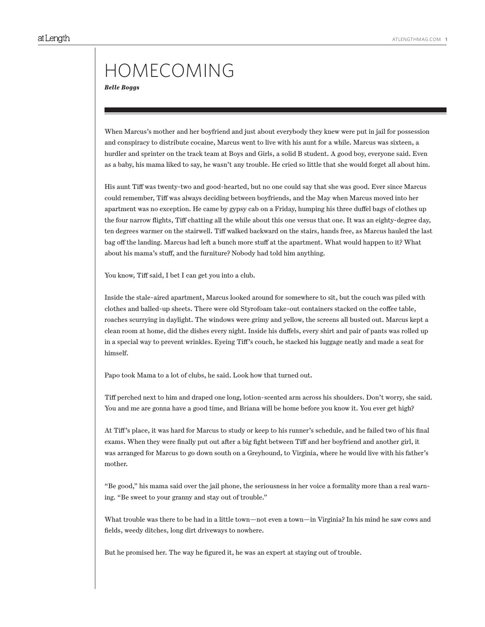# homecoming

*Belle Boggs*

When Marcus's mother and her boyfriend and just about everybody they knew were put in jail for possession and conspiracy to distribute cocaine, Marcus went to live with his aunt for a while. Marcus was sixteen, a hurdler and sprinter on the track team at Boys and Girls, a solid B student. A good boy, everyone said. Even as a baby, his mama liked to say, he wasn't any trouble. He cried so little that she would forget all about him.

His aunt Tiff was twenty-two and good-hearted, but no one could say that she was good. Ever since Marcus could remember, Tiff was always deciding between boyfriends, and the May when Marcus moved into her apartment was no exception. He came by gypsy cab on a Friday, humping his three duffel bags of clothes up the four narrow flights, Tiff chatting all the while about this one versus that one. It was an eighty-degree day, ten degrees warmer on the stairwell. Tiff walked backward on the stairs, hands free, as Marcus hauled the last bag off the landing. Marcus had left a bunch more stuff at the apartment. What would happen to it? What about his mama's stuff, and the furniture? Nobody had told him anything.

You know, Tiff said, I bet I can get you into a club.

Inside the stale-aired apartment, Marcus looked around for somewhere to sit, but the couch was piled with clothes and balled-up sheets. There were old Styrofoam take-out containers stacked on the coffee table, roaches scurrying in daylight. The windows were grimy and yellow, the screens all busted out. Marcus kept a clean room at home, did the dishes every night. Inside his duffels, every shirt and pair of pants was rolled up in a special way to prevent wrinkles. Eyeing Tiff's couch, he stacked his luggage neatly and made a seat for himself.

Papo took Mama to a lot of clubs, he said. Look how that turned out.

Tiff perched next to him and draped one long, lotion-scented arm across his shoulders. Don't worry, she said. You and me are gonna have a good time, and Briana will be home before you know it. You ever get high?

At Tiff's place, it was hard for Marcus to study or keep to his runner's schedule, and he failed two of his final exams. When they were finally put out after a big fight between Tiff and her boyfriend and another girl, it was arranged for Marcus to go down south on a Greyhound, to Virginia, where he would live with his father's mother.

"Be good," his mama said over the jail phone, the seriousness in her voice a formality more than a real warning. "Be sweet to your granny and stay out of trouble."

What trouble was there to be had in a little town—not even a town—in Virginia? In his mind he saw cows and fields, weedy ditches, long dirt driveways to nowhere.

But he promised her. The way he figured it, he was an expert at staying out of trouble.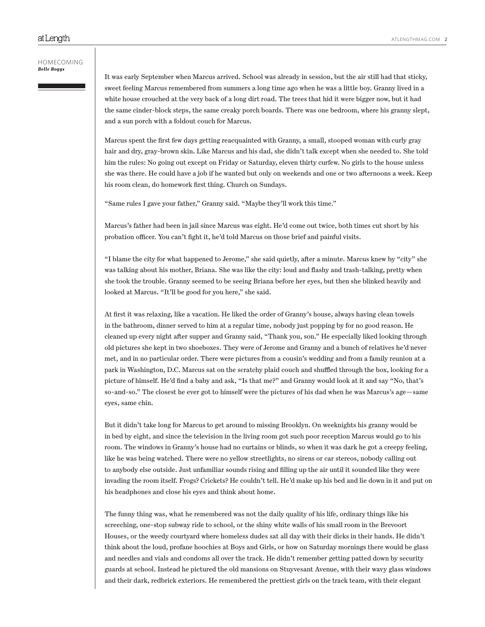It was early September when Marcus arrived. School was already in session, but the air still had that sticky, sweet feeling Marcus remembered from summers a long time ago when he was a little boy. Granny lived in a white house crouched at the very back of a long dirt road. The trees that hid it were bigger now, but it had the same cinder-block steps, the same creaky porch boards. There was one bedroom, where his granny slept, and a sun porch with a foldout couch for Marcus.

Marcus spent the first few days getting reacquainted with Granny, a small, stooped woman with curly gray hair and dry, gray-brown skin. Like Marcus and his dad, she didn't talk except when she needed to. She told him the rules: No going out except on Friday or Saturday, eleven thirty curfew. No girls to the house unless she was there. He could have a job if he wanted but only on weekends and one or two afternoons a week. Keep his room clean, do homework first thing. Church on Sundays.

"Same rules I gave your father," Granny said. "Maybe they'll work this time."

Marcus's father had been in jail since Marcus was eight. He'd come out twice, both times cut short by his probation officer. You can't fight it, he'd told Marcus on those brief and painful visits.

"I blame the city for what happened to Jerome," she said quietly, after a minute. Marcus knew by "city" she was talking about his mother, Briana. She was like the city: loud and flashy and trash-talking, pretty when she took the trouble. Granny seemed to be seeing Briana before her eyes, but then she blinked heavily and looked at Marcus. "It'll be good for you here," she said.

At first it was relaxing, like a vacation. He liked the order of Granny's house, always having clean towels in the bathroom, dinner served to him at a regular time, nobody just popping by for no good reason. He cleaned up every night after supper and Granny said, "Thank you, son." He especially liked looking through old pictures she kept in two shoeboxes. They were of Jerome and Granny and a bunch of relatives he'd never met, and in no particular order. There were pictures from a cousin's wedding and from a family reunion at a park in Washington, D.C. Marcus sat on the scratchy plaid couch and shuffled through the box, looking for a picture of himself. He'd find a baby and ask, "Is that me?" and Granny would look at it and say "No, that's so-and-so." The closest he ever got to himself were the pictures of his dad when he was Marcus's age—same eyes, same chin.

But it didn't take long for Marcus to get around to missing Brooklyn. On weeknights his granny would be in bed by eight, and since the television in the living room got such poor reception Marcus would go to his room. The windows in Granny's house had no curtains or blinds, so when it was dark he got a creepy feeling, like he was being watched. There were no yellow streetlights, no sirens or car stereos, nobody calling out to anybody else outside. Just unfamiliar sounds rising and filling up the air until it sounded like they were invading the room itself. Frogs? Crickets? He couldn't tell. He'd make up his bed and lie down in it and put on his headphones and close his eyes and think about home.

The funny thing was, what he remembered was not the daily quality of his life, ordinary things like his screeching, one-stop subway ride to school, or the shiny white walls of his small room in the Brevoort Houses, or the weedy courtyard where homeless dudes sat all day with their dicks in their hands. He didn't think about the loud, profane hoochies at Boys and Girls, or how on Saturday mornings there would be glass and needles and vials and condoms all over the track. He didn't remember getting patted down by security guards at school. Instead he pictured the old mansions on Stuyvesant Avenue, with their wavy glass windows and their dark, redbrick exteriors. He remembered the prettiest girls on the track team, with their elegant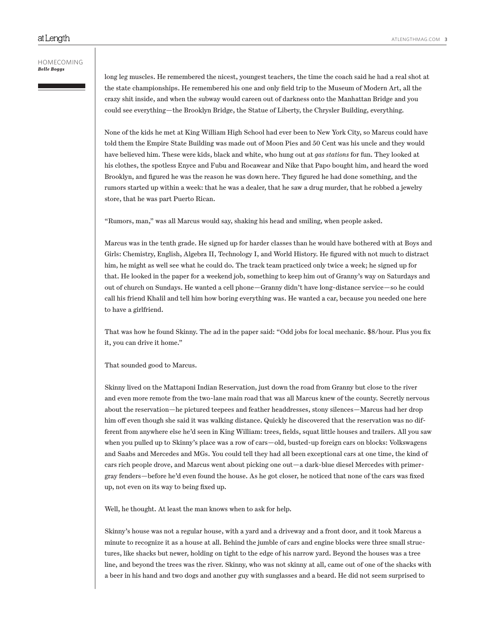long leg muscles. He remembered the nicest, youngest teachers, the time the coach said he had a real shot at the state championships. He remembered his one and only field trip to the Museum of Modern Art, all the crazy shit inside, and when the subway would careen out of darkness onto the Manhattan Bridge and you could see everything—the Brooklyn Bridge, the Statue of Liberty, the Chrysler Building, everything.

None of the kids he met at King William High School had ever been to New York City, so Marcus could have told them the Empire State Building was made out of Moon Pies and 50 Cent was his uncle and they would have believed him. These were kids, black and white, who hung out at *gas stations* for fun. They looked at his clothes, the spotless Enyce and Fubu and Rocawear and Nike that Papo bought him, and heard the word Brooklyn, and figured he was the reason he was down here. They figured he had done something, and the rumors started up within a week: that he was a dealer, that he saw a drug murder, that he robbed a jewelry store, that he was part Puerto Rican.

"Rumors, man," was all Marcus would say, shaking his head and smiling, when people asked.

Marcus was in the tenth grade. He signed up for harder classes than he would have bothered with at Boys and Girls: Chemistry, English, Algebra II, Technology I, and World History. He figured with not much to distract him, he might as well see what he could do. The track team practiced only twice a week; he signed up for that. He looked in the paper for a weekend job, something to keep him out of Granny's way on Saturdays and out of church on Sundays. He wanted a cell phone—Granny didn't have long-distance service—so he could call his friend Khalil and tell him how boring everything was. He wanted a car, because you needed one here to have a girlfriend.

That was how he found Skinny. The ad in the paper said: "Odd jobs for local mechanic. \$8/hour. Plus you fix it, you can drive it home."

That sounded good to Marcus.

Skinny lived on the Mattaponi Indian Reservation, just down the road from Granny but close to the river and even more remote from the two-lane main road that was all Marcus knew of the county. Secretly nervous about the reservation—he pictured teepees and feather headdresses, stony silences—Marcus had her drop him off even though she said it was walking distance. Quickly he discovered that the reservation was no different from anywhere else he'd seen in King William: trees, fields, squat little houses and trailers. All you saw when you pulled up to Skinny's place was a row of cars—old, busted-up foreign cars on blocks: Volkswagens and Saabs and Mercedes and MGs. You could tell they had all been exceptional cars at one time, the kind of cars rich people drove, and Marcus went about picking one out—a dark-blue diesel Mercedes with primergray fenders—before he'd even found the house. As he got closer, he noticed that none of the cars was fixed up, not even on its way to being fixed up.

Well, he thought. At least the man knows when to ask for help.

Skinny's house was not a regular house, with a yard and a driveway and a front door, and it took Marcus a minute to recognize it as a house at all. Behind the jumble of cars and engine blocks were three small structures, like shacks but newer, holding on tight to the edge of his narrow yard. Beyond the houses was a tree line, and beyond the trees was the river. Skinny, who was not skinny at all, came out of one of the shacks with a beer in his hand and two dogs and another guy with sunglasses and a beard. He did not seem surprised to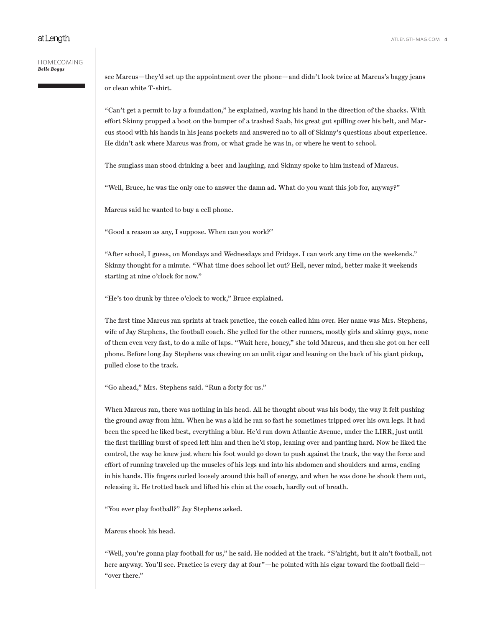see Marcus—they'd set up the appointment over the phone—and didn't look twice at Marcus's baggy jeans or clean white T-shirt.

"Can't get a permit to lay a foundation," he explained, waving his hand in the direction of the shacks. With effort Skinny propped a boot on the bumper of a trashed Saab, his great gut spilling over his belt, and Marcus stood with his hands in his jeans pockets and answered no to all of Skinny's questions about experience. He didn't ask where Marcus was from, or what grade he was in, or where he went to school.

The sunglass man stood drinking a beer and laughing, and Skinny spoke to him instead of Marcus.

"Well, Bruce, he was the only one to answer the damn ad. What do you want this job for, anyway?"

Marcus said he wanted to buy a cell phone.

"Good a reason as any, I suppose. When can you work?"

"After school, I guess, on Mondays and Wednesdays and Fridays. I can work any time on the weekends." Skinny thought for a minute. "What time does school let out? Hell, never mind, better make it weekends starting at nine o'clock for now."

"He's too drunk by three o'clock to work," Bruce explained.

The first time Marcus ran sprints at track practice, the coach called him over. Her name was Mrs. Stephens, wife of Jay Stephens, the football coach. She yelled for the other runners, mostly girls and skinny guys, none of them even very fast, to do a mile of laps. "Wait here, honey," she told Marcus, and then she got on her cell phone. Before long Jay Stephens was chewing on an unlit cigar and leaning on the back of his giant pickup, pulled close to the track.

"Go ahead," Mrs. Stephens said. "Run a forty for us."

When Marcus ran, there was nothing in his head. All he thought about was his body, the way it felt pushing the ground away from him. When he was a kid he ran so fast he sometimes tripped over his own legs. It had been the speed he liked best, everything a blur. He'd run down Atlantic Avenue, under the LIRR, just until the first thrilling burst of speed left him and then he'd stop, leaning over and panting hard. Now he liked the control, the way he knew just where his foot would go down to push against the track, the way the force and effort of running traveled up the muscles of his legs and into his abdomen and shoulders and arms, ending in his hands. His fingers curled loosely around this ball of energy, and when he was done he shook them out, releasing it. He trotted back and lifted his chin at the coach, hardly out of breath.

"You ever play football?" Jay Stephens asked.

Marcus shook his head.

"Well, you're gonna play football for us," he said. He nodded at the track. "S'alright, but it ain't football, not here anyway. You'll see. Practice is every day at four"—he pointed with his cigar toward the football field— "over there."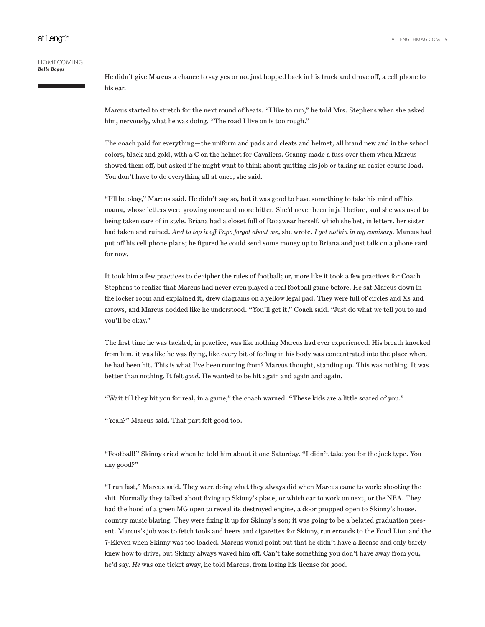He didn't give Marcus a chance to say yes or no, just hopped back in his truck and drove off, a cell phone to his ear.

Marcus started to stretch for the next round of heats. "I like to run," he told Mrs. Stephens when she asked him, nervously, what he was doing. "The road I live on is too rough."

The coach paid for everything—the uniform and pads and cleats and helmet, all brand new and in the school colors, black and gold, with a C on the helmet for Cavaliers. Granny made a fuss over them when Marcus showed them off, but asked if he might want to think about quitting his job or taking an easier course load. You don't have to do everything all at once, she said.

"I'll be okay," Marcus said. He didn't say so, but it was good to have something to take his mind off his mama, whose letters were growing more and more bitter. She'd never been in jail before, and she was used to being taken care of in style. Briana had a closet full of Rocawear herself, which she bet, in letters, her sister had taken and ruined. *And to top it off Papo forgot about me*, she wrote. *I got nothin in my comisary.* Marcus had put off his cell phone plans; he figured he could send some money up to Briana and just talk on a phone card for now.

It took him a few practices to decipher the rules of football; or, more like it took a few practices for Coach Stephens to realize that Marcus had never even played a real football game before. He sat Marcus down in the locker room and explained it, drew diagrams on a yellow legal pad. They were full of circles and Xs and arrows, and Marcus nodded like he understood. "You'll get it," Coach said. "Just do what we tell you to and you'll be okay."

The first time he was tackled, in practice, was like nothing Marcus had ever experienced. His breath knocked from him, it was like he was flying, like every bit of feeling in his body was concentrated into the place where he had been hit. This is what I've been running from? Marcus thought, standing up. This was nothing. It was better than nothing. It felt *good*. He wanted to be hit again and again and again.

"Wait till they hit you for real, in a game," the coach warned. "These kids are a little scared of you."

"Yeah?" Marcus said. That part felt good too.

"Football!" Skinny cried when he told him about it one Saturday. "I didn't take you for the jock type. You any good?"

"I run fast," Marcus said. They were doing what they always did when Marcus came to work: shooting the shit. Normally they talked about fixing up Skinny's place, or which car to work on next, or the NBA. They had the hood of a green MG open to reveal its destroyed engine, a door propped open to Skinny's house, country music blaring. They were fixing it up for Skinny's son; it was going to be a belated graduation present. Marcus's job was to fetch tools and beers and cigarettes for Skinny, run errands to the Food Lion and the 7-Eleven when Skinny was too loaded. Marcus would point out that he didn't have a license and only barely knew how to drive, but Skinny always waved him off. Can't take something you don't have away from you, he'd say. *He* was one ticket away, he told Marcus, from losing his license for good.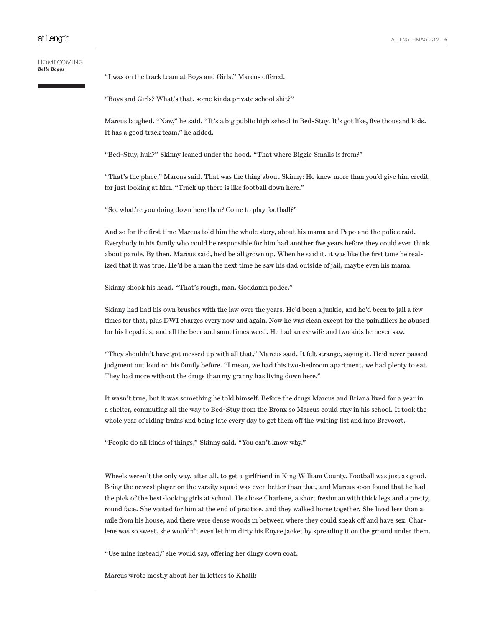"I was on the track team at Boys and Girls," Marcus offered.

"Boys and Girls? What's that, some kinda private school shit?"

Marcus laughed. "Naw," he said. "It's a big public high school in Bed-Stuy. It's got like, five thousand kids. It has a good track team," he added.

"Bed-Stuy, huh?" Skinny leaned under the hood. "That where Biggie Smalls is from?"

"That's the place," Marcus said. That was the thing about Skinny: He knew more than you'd give him credit for just looking at him. "Track up there is like football down here."

"So, what're you doing down here then? Come to play football?"

And so for the first time Marcus told him the whole story, about his mama and Papo and the police raid. Everybody in his family who could be responsible for him had another five years before they could even think about parole. By then, Marcus said, he'd be all grown up. When he said it, it was like the first time he realized that it was true. He'd be a man the next time he saw his dad outside of jail, maybe even his mama.

Skinny shook his head. "That's rough, man. Goddamn police."

Skinny had had his own brushes with the law over the years. He'd been a junkie, and he'd been to jail a few times for that, plus DWI charges every now and again. Now he was clean except for the painkillers he abused for his hepatitis, and all the beer and sometimes weed. He had an ex-wife and two kids he never saw.

"They shouldn't have got messed up with all that," Marcus said. It felt strange, saying it. He'd never passed judgment out loud on his family before. "I mean, we had this two-bedroom apartment, we had plenty to eat. They had more without the drugs than my granny has living down here."

It wasn't true, but it was something he told himself. Before the drugs Marcus and Briana lived for a year in a shelter, commuting all the way to Bed-Stuy from the Bronx so Marcus could stay in his school. It took the whole year of riding trains and being late every day to get them off the waiting list and into Brevoort.

"People do all kinds of things," Skinny said. "You can't know why."

Wheels weren't the only way, after all, to get a girlfriend in King William County. Football was just as good. Being the newest player on the varsity squad was even better than that, and Marcus soon found that he had the pick of the best-looking girls at school. He chose Charlene, a short freshman with thick legs and a pretty, round face. She waited for him at the end of practice, and they walked home together. She lived less than a mile from his house, and there were dense woods in between where they could sneak off and have sex. Charlene was so sweet, she wouldn't even let him dirty his Enyce jacket by spreading it on the ground under them.

"Use mine instead," she would say, offering her dingy down coat.

Marcus wrote mostly about her in letters to Khalil: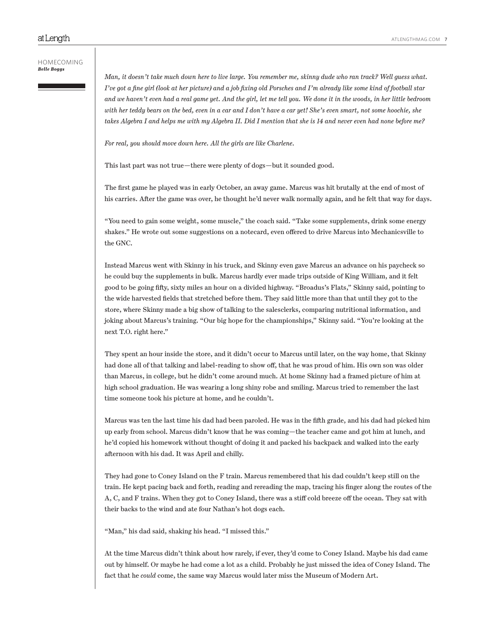*Man, it doesn't take much down here to live large. You remember me, skinny dude who ran track? Well guess what. I've got a fine girl (look at her picture) and a job fixing old Porsches and I'm already like some kind of football star and we haven't even had a real game yet. And the girl, let me tell you. We done it in the woods, in her little bedroom with her teddy bears on the bed, even in a car and I don't have a car yet! She's even smart, not some hoochie, she takes Algebra I and helps me with my Algebra II. Did I mention that she is 14 and never even had none before me?* 

*For real, you should move down here. All the girls are like Charlene.*

This last part was not true—there were plenty of dogs—but it sounded good.

The first game he played was in early October, an away game. Marcus was hit brutally at the end of most of his carries. After the game was over, he thought he'd never walk normally again, and he felt that way for days.

"You need to gain some weight, some muscle," the coach said. "Take some supplements, drink some energy shakes." He wrote out some suggestions on a notecard, even offered to drive Marcus into Mechanicsville to the GNC.

Instead Marcus went with Skinny in his truck, and Skinny even gave Marcus an advance on his paycheck so he could buy the supplements in bulk. Marcus hardly ever made trips outside of King William, and it felt good to be going fifty, sixty miles an hour on a divided highway. "Broadus's Flats," Skinny said, pointing to the wide harvested fields that stretched before them. They said little more than that until they got to the store, where Skinny made a big show of talking to the salesclerks, comparing nutritional information, and joking about Marcus's training. "Our big hope for the championships," Skinny said. "You're looking at the next T.O. right here."

They spent an hour inside the store, and it didn't occur to Marcus until later, on the way home, that Skinny had done all of that talking and label-reading to show off, that he was proud of him. His own son was older than Marcus, in college, but he didn't come around much. At home Skinny had a framed picture of him at high school graduation. He was wearing a long shiny robe and smiling. Marcus tried to remember the last time someone took his picture at home, and he couldn't.

Marcus was ten the last time his dad had been paroled. He was in the fifth grade, and his dad had picked him up early from school. Marcus didn't know that he was coming—the teacher came and got him at lunch, and he'd copied his homework without thought of doing it and packed his backpack and walked into the early afternoon with his dad. It was April and chilly.

They had gone to Coney Island on the F train. Marcus remembered that his dad couldn't keep still on the train. He kept pacing back and forth, reading and rereading the map, tracing his finger along the routes of the A, C, and F trains. When they got to Coney Island, there was a stiff cold breeze off the ocean. They sat with their backs to the wind and ate four Nathan's hot dogs each.

"Man," his dad said, shaking his head. "I missed this."

At the time Marcus didn't think about how rarely, if ever, they'd come to Coney Island. Maybe his dad came out by himself. Or maybe he had come a lot as a child. Probably he just missed the idea of Coney Island. The fact that he *could* come, the same way Marcus would later miss the Museum of Modern Art.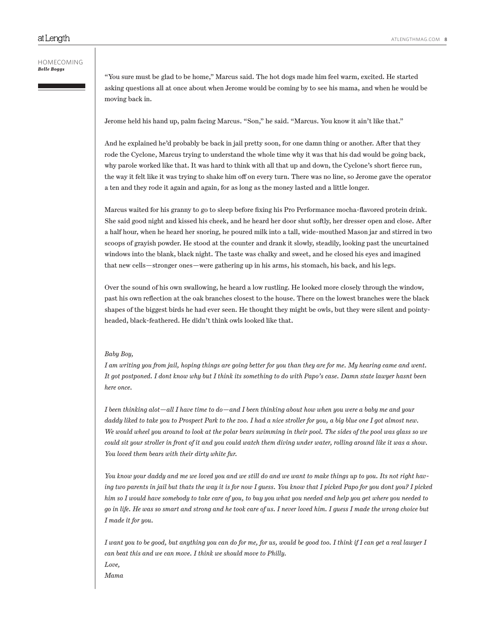"You sure must be glad to be home," Marcus said. The hot dogs made him feel warm, excited. He started asking questions all at once about when Jerome would be coming by to see his mama, and when he would be moving back in.

Jerome held his hand up, palm facing Marcus. "Son," he said. "Marcus. You know it ain't like that."

And he explained he'd probably be back in jail pretty soon, for one damn thing or another. After that they rode the Cyclone, Marcus trying to understand the whole time why it was that his dad would be going back, why parole worked like that. It was hard to think with all that up and down, the Cyclone's short fierce run, the way it felt like it was trying to shake him off on every turn. There was no line, so Jerome gave the operator a ten and they rode it again and again, for as long as the money lasted and a little longer.

Marcus waited for his granny to go to sleep before fixing his Pro Performance mocha-flavored protein drink. She said good night and kissed his cheek, and he heard her door shut softly, her dresser open and close. After a half hour, when he heard her snoring, he poured milk into a tall, wide-mouthed Mason jar and stirred in two scoops of grayish powder. He stood at the counter and drank it slowly, steadily, looking past the uncurtained windows into the blank, black night. The taste was chalky and sweet, and he closed his eyes and imagined that new cells—stronger ones—were gathering up in his arms, his stomach, his back, and his legs.

Over the sound of his own swallowing, he heard a low rustling. He looked more closely through the window, past his own reflection at the oak branches closest to the house. There on the lowest branches were the black shapes of the biggest birds he had ever seen. He thought they might be owls, but they were silent and pointyheaded, black-feathered. He didn't think owls looked like that.

# *Baby Boy,*

*I am writing you from jail, hoping things are going better for you than they are for me. My hearing came and went. It got postponed. I dont know why but I think its something to do with Papo's case. Damn state lawyer hasnt been here once.* 

*I been thinking alot—all I have time to do—and I been thinking about how when you were a baby me and your daddy liked to take you to Prospect Park to the zoo. I had a nice stroller for you, a big blue one I got almost new. We would wheel you around to look at the polar bears swimming in their pool. The sides of the pool was glass so we could sit your stroller in front of it and you could watch them diving under water, rolling around like it was a show. You loved them bears with their dirty white fur.*

*You know your daddy and me we loved you and we still do and we want to make things up to you. Its not right having two parents in jail but thats the way it is for now I guess. You know that I picked Papo for you dont you? I picked him so I would have somebody to take care of you, to buy you what you needed and help you get where you needed to go in life. He was so smart and strong and he took care of us. I never loved him. I guess I made the wrong choice but I made it for you.* 

*I want you to be good, but anything you can do for me, for us, would be good too. I think if I can get a real lawyer I can beat this and we can move. I think we should move to Philly. Love, Mama*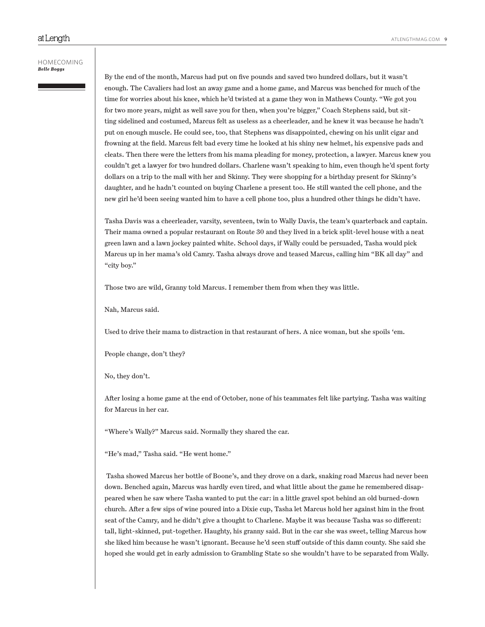By the end of the month, Marcus had put on five pounds and saved two hundred dollars, but it wasn't enough. The Cavaliers had lost an away game and a home game, and Marcus was benched for much of the time for worries about his knee, which he'd twisted at a game they won in Mathews County. "We got you for two more years, might as well save you for then, when you're bigger," Coach Stephens said, but sitting sidelined and costumed, Marcus felt as useless as a cheerleader, and he knew it was because he hadn't put on enough muscle. He could see, too, that Stephens was disappointed, chewing on his unlit cigar and frowning at the field. Marcus felt bad every time he looked at his shiny new helmet, his expensive pads and cleats. Then there were the letters from his mama pleading for money, protection, a lawyer. Marcus knew you couldn't get a lawyer for two hundred dollars. Charlene wasn't speaking to him, even though he'd spent forty dollars on a trip to the mall with her and Skinny. They were shopping for a birthday present for Skinny's daughter, and he hadn't counted on buying Charlene a present too. He still wanted the cell phone, and the new girl he'd been seeing wanted him to have a cell phone too, plus a hundred other things he didn't have.

Tasha Davis was a cheerleader, varsity, seventeen, twin to Wally Davis, the team's quarterback and captain. Their mama owned a popular restaurant on Route 30 and they lived in a brick split-level house with a neat green lawn and a lawn jockey painted white. School days, if Wally could be persuaded, Tasha would pick Marcus up in her mama's old Camry. Tasha always drove and teased Marcus, calling him "BK all day" and "city boy."

Those two are wild, Granny told Marcus. I remember them from when they was little.

Nah, Marcus said.

Used to drive their mama to distraction in that restaurant of hers. A nice woman, but she spoils 'em.

People change, don't they?

No, they don't.

After losing a home game at the end of October, none of his teammates felt like partying. Tasha was waiting for Marcus in her car.

"Where's Wally?" Marcus said. Normally they shared the car.

"He's mad," Tasha said. "He went home."

 Tasha showed Marcus her bottle of Boone's, and they drove on a dark, snaking road Marcus had never been down. Benched again, Marcus was hardly even tired, and what little about the game he remembered disappeared when he saw where Tasha wanted to put the car: in a little gravel spot behind an old burned-down church. After a few sips of wine poured into a Dixie cup, Tasha let Marcus hold her against him in the front seat of the Camry, and he didn't give a thought to Charlene. Maybe it was because Tasha was so different: tall, light-skinned, put-together. Haughty, his granny said. But in the car she was sweet, telling Marcus how she liked him because he wasn't ignorant. Because he'd seen stuff outside of this damn county. She said she hoped she would get in early admission to Grambling State so she wouldn't have to be separated from Wally.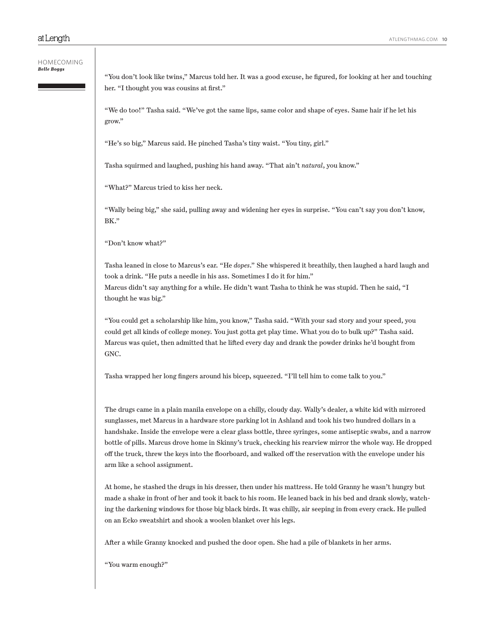"You don't look like twins," Marcus told her. It was a good excuse, he figured, for looking at her and touching her. "I thought you was cousins at first."

"We do too!" Tasha said. "We've got the same lips, same color and shape of eyes. Same hair if he let his grow."

"He's so big," Marcus said. He pinched Tasha's tiny waist. "You tiny, girl."

Tasha squirmed and laughed, pushing his hand away. "That ain't *natural*, you know."

"What?" Marcus tried to kiss her neck.

"Wally being big," she said, pulling away and widening her eyes in surprise. "You can't say you don't know, BK."

"Don't know what?"

Tasha leaned in close to Marcus's ear. "He *dopes*." She whispered it breathily, then laughed a hard laugh and took a drink. "He puts a needle in his ass. Sometimes I do it for him." Marcus didn't say anything for a while. He didn't want Tasha to think he was stupid. Then he said, "I thought he was big."

"You could get a scholarship like him, you know," Tasha said. "With your sad story and your speed, you could get all kinds of college money. You just gotta get play time. What you do to bulk up?" Tasha said. Marcus was quiet, then admitted that he lifted every day and drank the powder drinks he'd bought from GNC.

Tasha wrapped her long fingers around his bicep, squeezed. "I'll tell him to come talk to you."

The drugs came in a plain manila envelope on a chilly, cloudy day. Wally's dealer, a white kid with mirrored sunglasses, met Marcus in a hardware store parking lot in Ashland and took his two hundred dollars in a handshake. Inside the envelope were a clear glass bottle, three syringes, some antiseptic swabs, and a narrow bottle of pills. Marcus drove home in Skinny's truck, checking his rearview mirror the whole way. He dropped off the truck, threw the keys into the floorboard, and walked off the reservation with the envelope under his arm like a school assignment.

At home, he stashed the drugs in his dresser, then under his mattress. He told Granny he wasn't hungry but made a shake in front of her and took it back to his room. He leaned back in his bed and drank slowly, watching the darkening windows for those big black birds. It was chilly, air seeping in from every crack. He pulled on an Ecko sweatshirt and shook a woolen blanket over his legs.

After a while Granny knocked and pushed the door open. She had a pile of blankets in her arms.

"You warm enough?"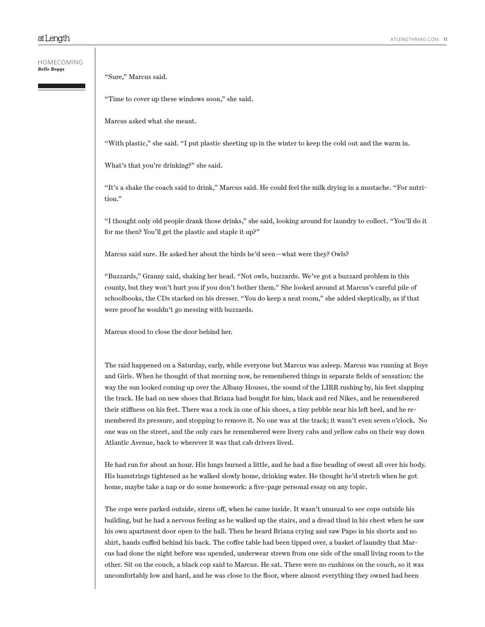"Sure," Marcus said.

"Time to cover up these windows soon," she said.

Marcus asked what she meant.

"With plastic," she said. "I put plastic sheeting up in the winter to keep the cold out and the warm in.

What's that you're drinking?" she said.

"It's a shake the coach said to drink," Marcus said. He could feel the milk drying in a mustache. "For nutrition."

"I thought only old people drank those drinks," she said, looking around for laundry to collect. "You'll do it for me then? You'll get the plastic and staple it up?"

Marcus said sure. He asked her about the birds he'd seen—what were they? Owls?

"Buzzards," Granny said, shaking her head. "Not owls, buzzards. We've got a buzzard problem in this county, but they won't hurt you if you don't bother them." She looked around at Marcus's careful pile of schoolbooks, the CDs stacked on his dresser. "You do keep a neat room," she added skeptically, as if that were proof he wouldn't go messing with buzzards.

Marcus stood to close the door behind her.

The raid happened on a Saturday, early, while everyone but Marcus was asleep. Marcus was running at Boys and Girls. When he thought of that morning now, he remembered things in separate fields of sensation: the way the sun looked coming up over the Albany Houses, the sound of the LIRR rushing by, his feet slapping the track. He had on new shoes that Briana had bought for him, black and red Nikes, and he remembered their stiffness on his feet. There was a rock in one of his shoes, a tiny pebble near his left heel, and he remembered its pressure, and stopping to remove it. No one was at the track; it wasn't even seven o'clock. No one was on the street, and the only cars he remembered were livery cabs and yellow cabs on their way down Atlantic Avenue, back to wherever it was that cab drivers lived.

He had run for about an hour. His lungs burned a little, and he had a fine beading of sweat all over his body. His hamstrings tightened as he walked slowly home, drinking water. He thought he'd stretch when he got home, maybe take a nap or do some homework: a five-page personal essay on any topic.

The cops were parked outside, sirens off, when he came inside. It wasn't unusual to see cops outside his building, but he had a nervous feeling as he walked up the stairs, and a dread thud in his chest when he saw his own apartment door open to the hall. Then he heard Briana crying and saw Papo in his shorts and no shirt, hands cuffed behind his back. The coffee table had been tipped over, a basket of laundry that Marcus had done the night before was upended, underwear strewn from one side of the small living room to the other. Sit on the couch, a black cop said to Marcus. He sat. There were no cushions on the couch, so it was uncomfortably low and hard, and he was close to the floor, where almost everything they owned had been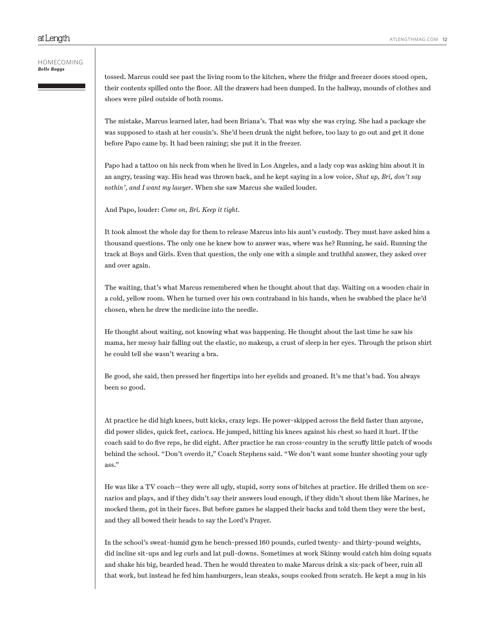tossed. Marcus could see past the living room to the kitchen, where the fridge and freezer doors stood open, their contents spilled onto the floor. All the drawers had been dumped. In the hallway, mounds of clothes and shoes were piled outside of both rooms.

The mistake, Marcus learned later, had been Briana's. That was why she was crying. She had a package she was supposed to stash at her cousin's. She'd been drunk the night before, too lazy to go out and get it done before Papo came by. It had been raining; she put it in the freezer.

Papo had a tattoo on his neck from when he lived in Los Angeles, and a lady cop was asking him about it in an angry, teasing way. His head was thrown back, and he kept saying in a low voice, *Shut up, Bri, don't say nothin', and I want my lawyer*. When she saw Marcus she wailed louder.

And Papo, louder: *Come on, Bri. Keep it tight.*

It took almost the whole day for them to release Marcus into his aunt's custody. They must have asked him a thousand questions. The only one he knew how to answer was, where was he? Running, he said. Running the track at Boys and Girls. Even that question, the only one with a simple and truthful answer, they asked over and over again.

The waiting, that's what Marcus remembered when he thought about that day. Waiting on a wooden chair in a cold, yellow room. When he turned over his own contraband in his hands, when he swabbed the place he'd chosen, when he drew the medicine into the needle.

He thought about waiting, not knowing what was happening. He thought about the last time he saw his mama, her messy hair falling out the elastic, no makeup, a crust of sleep in her eyes. Through the prison shirt he could tell she wasn't wearing a bra.

Be good, she said, then pressed her fingertips into her eyelids and groaned. It's me that's bad. You always been so good.

At practice he did high knees, butt kicks, crazy legs. He power-skipped across the field faster than anyone, did power slides, quick feet, carioca. He jumped, hitting his knees against his chest so hard it hurt. If the coach said to do five reps, he did eight. After practice he ran cross-country in the scruffy little patch of woods behind the school. "Don't overdo it," Coach Stephens said. "We don't want some hunter shooting your ugly ass."

He was like a TV coach—they were all ugly, stupid, sorry sons of bitches at practice. He drilled them on scenarios and plays, and if they didn't say their answers loud enough, if they didn't shout them like Marines, he mocked them, got in their faces. But before games he slapped their backs and told them they were the best, and they all bowed their heads to say the Lord's Prayer.

In the school's sweat-humid gym he bench-pressed 160 pounds, curled twenty- and thirty-pound weights, did incline sit-ups and leg curls and lat pull-downs. Sometimes at work Skinny would catch him doing squats and shake his big, bearded head. Then he would threaten to make Marcus drink a six-pack of beer, ruin all that work, but instead he fed him hamburgers, lean steaks, soups cooked from scratch. He kept a mug in his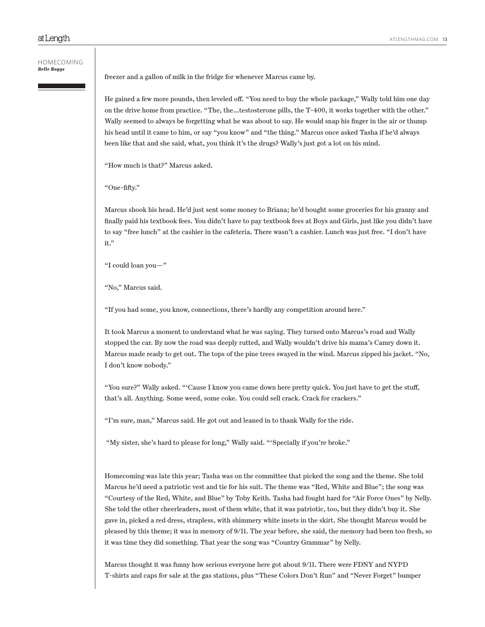freezer and a gallon of milk in the fridge for whenever Marcus came by.

He gained a few more pounds, then leveled off. "You need to buy the whole package," Wally told him one day on the drive home from practice. "The, the…testosterone pills, the T-400, it works together with the other." Wally seemed to always be forgetting what he was about to say. He would snap his finger in the air or thump his head until it came to him, or say "you know" and "the thing." Marcus once asked Tasha if he'd always been like that and she said, what, you think it's the drugs? Wally's just got a lot on his mind.

"How much is that?" Marcus asked.

"One-fifty."

Marcus shook his head. He'd just sent some money to Briana; he'd bought some groceries for his granny and finally paid his textbook fees. You didn't have to pay textbook fees at Boys and Girls, just like you didn't have to say "free lunch" at the cashier in the cafeteria. There wasn't a cashier. Lunch was just free. "I don't have it."

"I could loan you—"

"No," Marcus said.

"If you had some, you know, connections, there's hardly any competition around here."

It took Marcus a moment to understand what he was saying. They turned onto Marcus's road and Wally stopped the car. By now the road was deeply rutted, and Wally wouldn't drive his mama's Camry down it. Marcus made ready to get out. The tops of the pine trees swayed in the wind. Marcus zipped his jacket. "No, I don't know nobody."

"You sure?" Wally asked. "'Cause I know you came down here pretty quick. You just have to get the stuff, that's all. Anything. Some weed, some coke. You could sell crack. Crack for crackers."

"I'm sure, man," Marcus said. He got out and leaned in to thank Wally for the ride.

"My sister, she's hard to please for long," Wally said. "'Specially if you're broke."

Homecoming was late this year; Tasha was on the committee that picked the song and the theme. She told Marcus he'd need a patriotic vest and tie for his suit. The theme was "Red, White and Blue"; the song was "Courtesy of the Red, White, and Blue" by Toby Keith. Tasha had fought hard for "Air Force Ones" by Nelly. She told the other cheerleaders, most of them white, that it was patriotic, too, but they didn't buy it. She gave in, picked a red dress, strapless, with shimmery white insets in the skirt. She thought Marcus would be pleased by this theme; it was in memory of 9/11. The year before, she said, the memory had been too fresh, so it was time they did something. That year the song was "Country Grammar" by Nelly.

Marcus thought it was funny how serious everyone here got about 9/11. There were FDNY and NYPD T-shirts and caps for sale at the gas stations, plus "These Colors Don't Run" and "Never Forget" bumper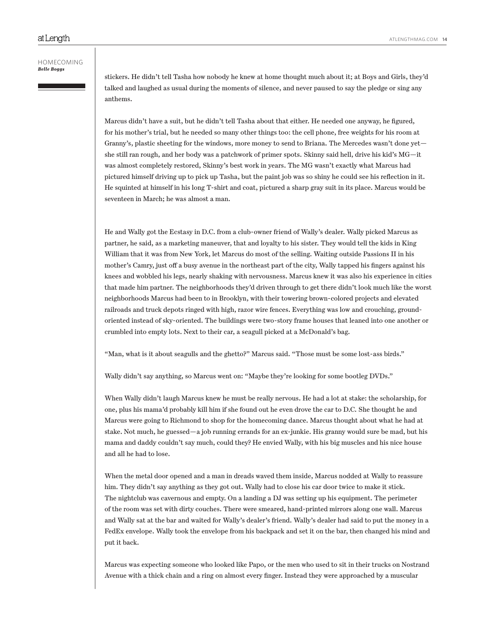stickers. He didn't tell Tasha how nobody he knew at home thought much about it; at Boys and Girls, they'd talked and laughed as usual during the moments of silence, and never paused to say the pledge or sing any anthems.

Marcus didn't have a suit, but he didn't tell Tasha about that either. He needed one anyway, he figured, for his mother's trial, but he needed so many other things too: the cell phone, free weights for his room at Granny's, plastic sheeting for the windows, more money to send to Briana. The Mercedes wasn't done yet she still ran rough, and her body was a patchwork of primer spots. Skinny said hell, drive his kid's MG—it was almost completely restored, Skinny's best work in years. The MG wasn't exactly what Marcus had pictured himself driving up to pick up Tasha, but the paint job was so shiny he could see his reflection in it. He squinted at himself in his long T-shirt and coat, pictured a sharp gray suit in its place. Marcus would be seventeen in March; he was almost a man.

He and Wally got the Ecstasy in D.C. from a club-owner friend of Wally's dealer. Wally picked Marcus as partner, he said, as a marketing maneuver, that and loyalty to his sister. They would tell the kids in King William that it was from New York, let Marcus do most of the selling. Waiting outside Passions II in his mother's Camry, just off a busy avenue in the northeast part of the city, Wally tapped his fingers against his knees and wobbled his legs, nearly shaking with nervousness. Marcus knew it was also his experience in cities that made him partner. The neighborhoods they'd driven through to get there didn't look much like the worst neighborhoods Marcus had been to in Brooklyn, with their towering brown-colored projects and elevated railroads and truck depots ringed with high, razor wire fences. Everything was low and crouching, groundoriented instead of sky-oriented. The buildings were two-story frame houses that leaned into one another or crumbled into empty lots. Next to their car, a seagull picked at a McDonald's bag.

"Man, what is it about seagulls and the ghetto?" Marcus said. "Those must be some lost-ass birds."

Wally didn't say anything, so Marcus went on: "Maybe they're looking for some bootleg DVDs."

When Wally didn't laugh Marcus knew he must be really nervous. He had a lot at stake: the scholarship, for one, plus his mama'd probably kill him if she found out he even drove the car to D.C. She thought he and Marcus were going to Richmond to shop for the homecoming dance. Marcus thought about what he had at stake. Not much, he guessed—a job running errands for an ex-junkie. His granny would sure be mad, but his mama and daddy couldn't say much, could they? He envied Wally, with his big muscles and his nice house and all he had to lose.

When the metal door opened and a man in dreads waved them inside, Marcus nodded at Wally to reassure him. They didn't say anything as they got out. Wally had to close his car door twice to make it stick. The nightclub was cavernous and empty. On a landing a DJ was setting up his equipment. The perimeter of the room was set with dirty couches. There were smeared, hand-printed mirrors along one wall. Marcus and Wally sat at the bar and waited for Wally's dealer's friend. Wally's dealer had said to put the money in a FedEx envelope. Wally took the envelope from his backpack and set it on the bar, then changed his mind and put it back.

Marcus was expecting someone who looked like Papo, or the men who used to sit in their trucks on Nostrand Avenue with a thick chain and a ring on almost every finger. Instead they were approached by a muscular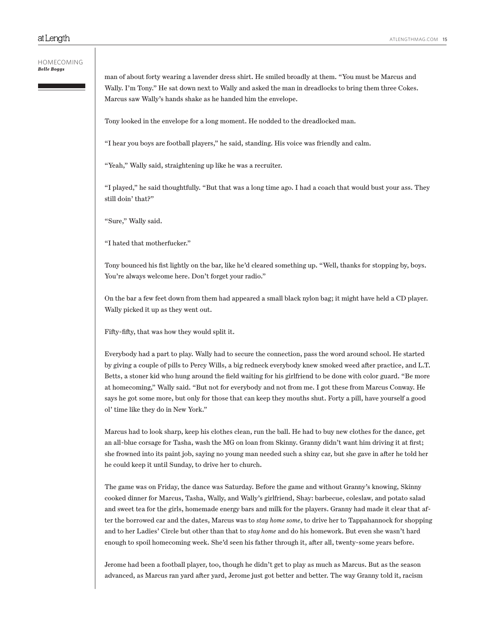# at Length

#### Homecoming *Belle Boggs*

man of about forty wearing a lavender dress shirt. He smiled broadly at them. "You must be Marcus and Wally. I'm Tony." He sat down next to Wally and asked the man in dreadlocks to bring them three Cokes. Marcus saw Wally's hands shake as he handed him the envelope.

Tony looked in the envelope for a long moment. He nodded to the dreadlocked man.

"I hear you boys are football players," he said, standing. His voice was friendly and calm.

"Yeah," Wally said, straightening up like he was a recruiter.

"I played," he said thoughtfully. "But that was a long time ago. I had a coach that would bust your ass. They still doin' that?"

"Sure," Wally said.

"I hated that motherfucker."

Tony bounced his fist lightly on the bar, like he'd cleared something up. "Well, thanks for stopping by, boys. You're always welcome here. Don't forget your radio."

On the bar a few feet down from them had appeared a small black nylon bag; it might have held a CD player. Wally picked it up as they went out.

Fifty-fifty, that was how they would split it.

Everybody had a part to play. Wally had to secure the connection, pass the word around school. He started by giving a couple of pills to Percy Wills, a big redneck everybody knew smoked weed after practice, and L.T. Betts, a stoner kid who hung around the field waiting for his girlfriend to be done with color guard. "Be more at homecoming," Wally said. "But not for everybody and not from me. I got these from Marcus Conway. He says he got some more, but only for those that can keep they mouths shut. Forty a pill, have yourself a good ol' time like they do in New York."

Marcus had to look sharp, keep his clothes clean, run the ball. He had to buy new clothes for the dance, get an all-blue corsage for Tasha, wash the MG on loan from Skinny. Granny didn't want him driving it at first; she frowned into its paint job, saying no young man needed such a shiny car, but she gave in after he told her he could keep it until Sunday, to drive her to church.

The game was on Friday, the dance was Saturday. Before the game and without Granny's knowing, Skinny cooked dinner for Marcus, Tasha, Wally, and Wally's girlfriend, Shay: barbecue, coleslaw, and potato salad and sweet tea for the girls, homemade energy bars and milk for the players. Granny had made it clear that after the borrowed car and the dates, Marcus was to *stay home some*, to drive her to Tappahannock for shopping and to her Ladies' Circle but other than that to *stay home* and do his homework. But even she wasn't hard enough to spoil homecoming week. She'd seen his father through it, after all, twenty-some years before.

Jerome had been a football player, too, though he didn't get to play as much as Marcus. But as the season advanced, as Marcus ran yard after yard, Jerome just got better and better. The way Granny told it, racism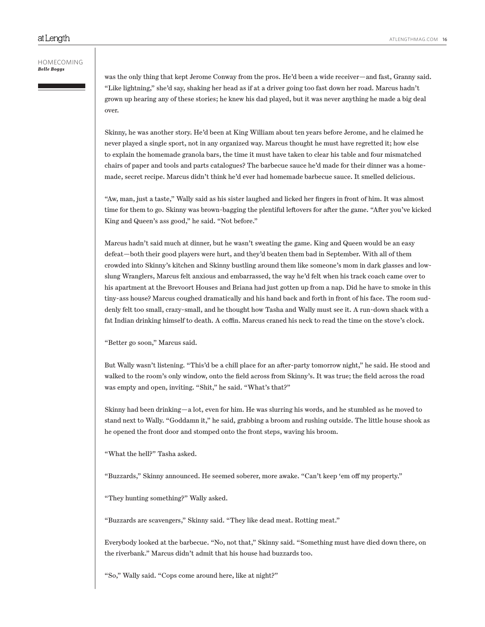was the only thing that kept Jerome Conway from the pros. He'd been a wide receiver—and fast, Granny said. "Like lightning," she'd say, shaking her head as if at a driver going too fast down her road. Marcus hadn't grown up hearing any of these stories; he knew his dad played, but it was never anything he made a big deal over.

Skinny, he was another story. He'd been at King William about ten years before Jerome, and he claimed he never played a single sport, not in any organized way. Marcus thought he must have regretted it; how else to explain the homemade granola bars, the time it must have taken to clear his table and four mismatched chairs of paper and tools and parts catalogues? The barbecue sauce he'd made for their dinner was a homemade, secret recipe. Marcus didn't think he'd ever had homemade barbecue sauce. It smelled delicious.

"Aw, man, just a taste," Wally said as his sister laughed and licked her fingers in front of him. It was almost time for them to go. Skinny was brown-bagging the plentiful leftovers for after the game. "After you've kicked King and Queen's ass good," he said. "Not before."

Marcus hadn't said much at dinner, but he wasn't sweating the game. King and Queen would be an easy defeat—both their good players were hurt, and they'd beaten them bad in September. With all of them crowded into Skinny's kitchen and Skinny bustling around them like someone's mom in dark glasses and lowslung Wranglers, Marcus felt anxious and embarrassed, the way he'd felt when his track coach came over to his apartment at the Brevoort Houses and Briana had just gotten up from a nap. Did he have to smoke in this tiny-ass house? Marcus coughed dramatically and his hand back and forth in front of his face. The room suddenly felt too small, crazy-small, and he thought how Tasha and Wally must see it. A run-down shack with a fat Indian drinking himself to death. A coffin. Marcus craned his neck to read the time on the stove's clock.

"Better go soon," Marcus said.

But Wally wasn't listening. "This'd be a chill place for an after-party tomorrow night," he said. He stood and walked to the room's only window, onto the field across from Skinny's. It was true; the field across the road was empty and open, inviting. "Shit," he said. "What's that?"

Skinny had been drinking—a lot, even for him. He was slurring his words, and he stumbled as he moved to stand next to Wally. "Goddamn it," he said, grabbing a broom and rushing outside. The little house shook as he opened the front door and stomped onto the front steps, waving his broom.

"What the hell?" Tasha asked.

"Buzzards," Skinny announced. He seemed soberer, more awake. "Can't keep 'em off my property."

"They hunting something?" Wally asked.

"Buzzards are scavengers," Skinny said. "They like dead meat. Rotting meat."

Everybody looked at the barbecue. "No, not that," Skinny said. "Something must have died down there, on the riverbank." Marcus didn't admit that his house had buzzards too.

"So," Wally said. "Cops come around here, like at night?"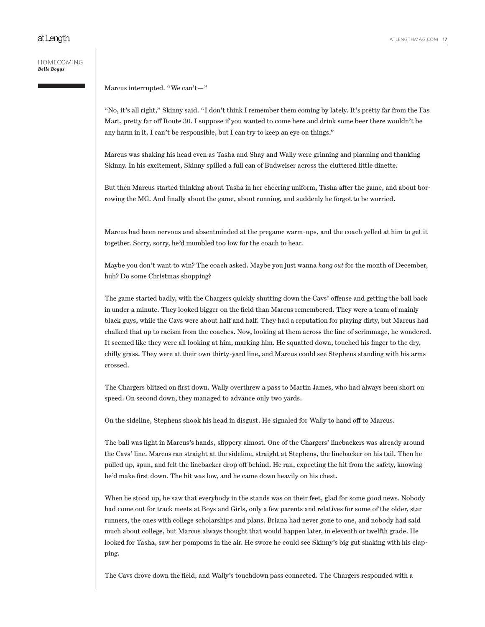Marcus interrupted. "We can't—"

"No, it's all right," Skinny said. "I don't think I remember them coming by lately. It's pretty far from the Fas Mart, pretty far off Route 30. I suppose if you wanted to come here and drink some beer there wouldn't be any harm in it. I can't be responsible, but I can try to keep an eye on things."

Marcus was shaking his head even as Tasha and Shay and Wally were grinning and planning and thanking Skinny. In his excitement, Skinny spilled a full can of Budweiser across the cluttered little dinette.

But then Marcus started thinking about Tasha in her cheering uniform, Tasha after the game, and about borrowing the MG. And finally about the game, about running, and suddenly he forgot to be worried.

Marcus had been nervous and absentminded at the pregame warm-ups, and the coach yelled at him to get it together. Sorry, sorry, he'd mumbled too low for the coach to hear.

Maybe you don't want to win? The coach asked. Maybe you just wanna *hang out* for the month of December, huh? Do some Christmas shopping?

The game started badly, with the Chargers quickly shutting down the Cavs' offense and getting the ball back in under a minute. They looked bigger on the field than Marcus remembered. They were a team of mainly black guys, while the Cavs were about half and half. They had a reputation for playing dirty, but Marcus had chalked that up to racism from the coaches. Now, looking at them across the line of scrimmage, he wondered. It seemed like they were all looking at him, marking him. He squatted down, touched his finger to the dry, chilly grass. They were at their own thirty-yard line, and Marcus could see Stephens standing with his arms crossed.

The Chargers blitzed on first down. Wally overthrew a pass to Martin James, who had always been short on speed. On second down, they managed to advance only two yards.

On the sideline, Stephens shook his head in disgust. He signaled for Wally to hand off to Marcus.

The ball was light in Marcus's hands, slippery almost. One of the Chargers' linebackers was already around the Cavs' line. Marcus ran straight at the sideline, straight at Stephens, the linebacker on his tail. Then he pulled up, spun, and felt the linebacker drop off behind. He ran, expecting the hit from the safety, knowing he'd make first down. The hit was low, and he came down heavily on his chest.

When he stood up, he saw that everybody in the stands was on their feet, glad for some good news. Nobody had come out for track meets at Boys and Girls, only a few parents and relatives for some of the older, star runners, the ones with college scholarships and plans. Briana had never gone to one, and nobody had said much about college, but Marcus always thought that would happen later, in eleventh or twelfth grade. He looked for Tasha, saw her pompoms in the air. He swore he could see Skinny's big gut shaking with his clapping.

The Cavs drove down the field, and Wally's touchdown pass connected. The Chargers responded with a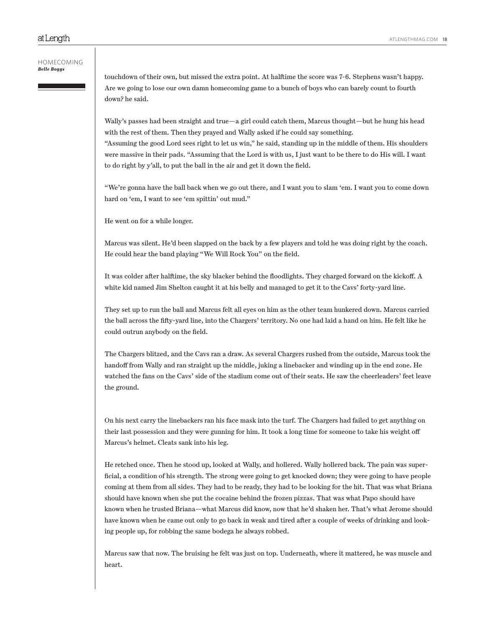touchdown of their own, but missed the extra point. At halftime the score was 7-6. Stephens wasn't happy. Are we going to lose our own damn homecoming game to a bunch of boys who can barely count to fourth down? he said.

Wally's passes had been straight and true—a girl could catch them, Marcus thought—but he hung his head with the rest of them. Then they prayed and Wally asked if he could say something.

"Assuming the good Lord sees right to let us win," he said, standing up in the middle of them. His shoulders were massive in their pads. "Assuming that the Lord is with us, I just want to be there to do His will. I want to do right by y'all, to put the ball in the air and get it down the field.

"We're gonna have the ball back when we go out there, and I want you to slam 'em. I want you to come down hard on 'em, I want to see 'em spittin' out mud."

He went on for a while longer.

Marcus was silent. He'd been slapped on the back by a few players and told he was doing right by the coach. He could hear the band playing "We Will Rock You" on the field.

It was colder after halftime, the sky blacker behind the floodlights. They charged forward on the kickoff. A white kid named Jim Shelton caught it at his belly and managed to get it to the Cavs' forty-yard line.

They set up to run the ball and Marcus felt all eyes on him as the other team hunkered down. Marcus carried the ball across the fifty-yard line, into the Chargers' territory. No one had laid a hand on him. He felt like he could outrun anybody on the field.

The Chargers blitzed, and the Cavs ran a draw. As several Chargers rushed from the outside, Marcus took the handoff from Wally and ran straight up the middle, juking a linebacker and winding up in the end zone. He watched the fans on the Cavs' side of the stadium come out of their seats. He saw the cheerleaders' feet leave the ground.

On his next carry the linebackers ran his face mask into the turf. The Chargers had failed to get anything on their last possession and they were gunning for him. It took a long time for someone to take his weight off Marcus's helmet. Cleats sank into his leg.

He retched once. Then he stood up, looked at Wally, and hollered. Wally hollered back. The pain was superficial, a condition of his strength. The strong were going to get knocked down; they were going to have people coming at them from all sides. They had to be ready, they had to be looking for the hit. That was what Briana should have known when she put the cocaine behind the frozen pizzas. That was what Papo should have known when he trusted Briana—what Marcus did know, now that he'd shaken her. That's what Jerome should have known when he came out only to go back in weak and tired after a couple of weeks of drinking and looking people up, for robbing the same bodega he always robbed.

Marcus saw that now. The bruising he felt was just on top. Underneath, where it mattered, he was muscle and heart.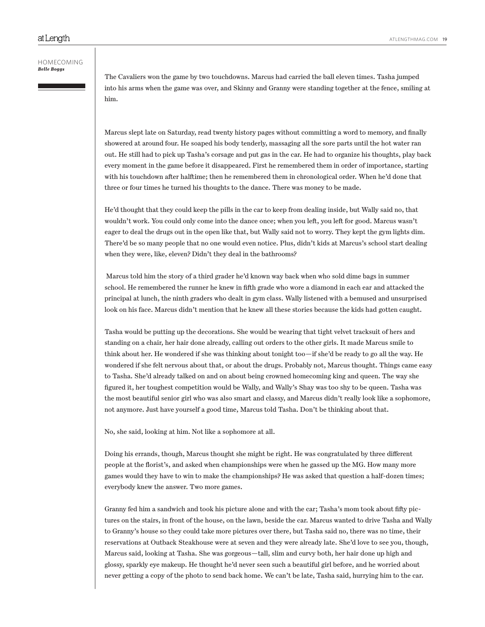The Cavaliers won the game by two touchdowns. Marcus had carried the ball eleven times. Tasha jumped into his arms when the game was over, and Skinny and Granny were standing together at the fence, smiling at him.

Marcus slept late on Saturday, read twenty history pages without committing a word to memory, and finally showered at around four. He soaped his body tenderly, massaging all the sore parts until the hot water ran out. He still had to pick up Tasha's corsage and put gas in the car. He had to organize his thoughts, play back every moment in the game before it disappeared. First he remembered them in order of importance, starting with his touchdown after halftime; then he remembered them in chronological order. When he'd done that three or four times he turned his thoughts to the dance. There was money to be made.

He'd thought that they could keep the pills in the car to keep from dealing inside, but Wally said no, that wouldn't work. You could only come into the dance once; when you left, you left for good. Marcus wasn't eager to deal the drugs out in the open like that, but Wally said not to worry. They kept the gym lights dim. There'd be so many people that no one would even notice. Plus, didn't kids at Marcus's school start dealing when they were, like, eleven? Didn't they deal in the bathrooms?

 Marcus told him the story of a third grader he'd known way back when who sold dime bags in summer school. He remembered the runner he knew in fifth grade who wore a diamond in each ear and attacked the principal at lunch, the ninth graders who dealt in gym class. Wally listened with a bemused and unsurprised look on his face. Marcus didn't mention that he knew all these stories because the kids had gotten caught.

Tasha would be putting up the decorations. She would be wearing that tight velvet tracksuit of hers and standing on a chair, her hair done already, calling out orders to the other girls. It made Marcus smile to think about her. He wondered if she was thinking about tonight too—if she'd be ready to go all the way. He wondered if she felt nervous about that, or about the drugs. Probably not, Marcus thought. Things came easy to Tasha. She'd already talked on and on about being crowned homecoming king and queen. The way she figured it, her toughest competition would be Wally, and Wally's Shay was too shy to be queen. Tasha was the most beautiful senior girl who was also smart and classy, and Marcus didn't really look like a sophomore, not anymore. Just have yourself a good time, Marcus told Tasha. Don't be thinking about that.

No, she said, looking at him. Not like a sophomore at all.

Doing his errands, though, Marcus thought she might be right. He was congratulated by three different people at the florist's, and asked when championships were when he gassed up the MG. How many more games would they have to win to make the championships? He was asked that question a half-dozen times; everybody knew the answer. Two more games.

Granny fed him a sandwich and took his picture alone and with the car; Tasha's mom took about fifty pictures on the stairs, in front of the house, on the lawn, beside the car. Marcus wanted to drive Tasha and Wally to Granny's house so they could take more pictures over there, but Tasha said no, there was no time, their reservations at Outback Steakhouse were at seven and they were already late. She'd love to see you, though, Marcus said, looking at Tasha. She was gorgeous—tall, slim and curvy both, her hair done up high and glossy, sparkly eye makeup. He thought he'd never seen such a beautiful girl before, and he worried about never getting a copy of the photo to send back home. We can't be late, Tasha said, hurrying him to the car.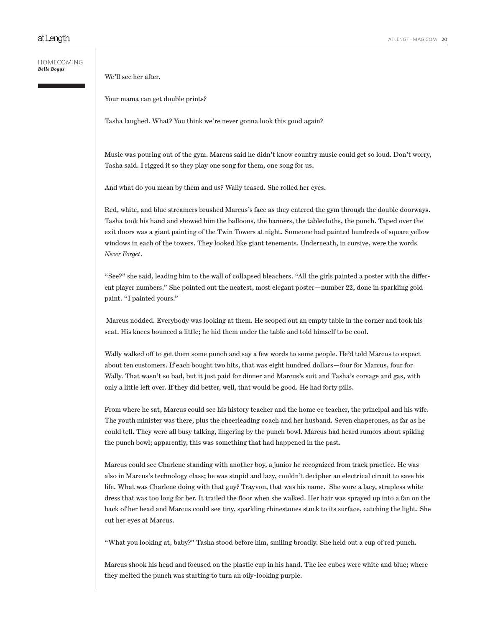We'll see her after.

Your mama can get double prints?

Tasha laughed. What? You think we're never gonna look this good again?

Music was pouring out of the gym. Marcus said he didn't know country music could get so loud. Don't worry, Tasha said. I rigged it so they play one song for them, one song for us.

And what do you mean by them and us? Wally teased. She rolled her eyes.

Red, white, and blue streamers brushed Marcus's face as they entered the gym through the double doorways. Tasha took his hand and showed him the balloons, the banners, the tablecloths, the punch. Taped over the exit doors was a giant painting of the Twin Towers at night. Someone had painted hundreds of square yellow windows in each of the towers. They looked like giant tenements. Underneath, in cursive, were the words *Never Forget*.

"See?" she said, leading him to the wall of collapsed bleachers. "All the girls painted a poster with the different player numbers." She pointed out the neatest, most elegant poster—number 22, done in sparkling gold paint. "I painted yours."

 Marcus nodded. Everybody was looking at them. He scoped out an empty table in the corner and took his seat. His knees bounced a little; he hid them under the table and told himself to be cool.

Wally walked off to get them some punch and say a few words to some people. He'd told Marcus to expect about ten customers. If each bought two hits, that was eight hundred dollars—four for Marcus, four for Wally. That wasn't so bad, but it just paid for dinner and Marcus's suit and Tasha's corsage and gas, with only a little left over. If they did better, well, that would be good. He had forty pills.

From where he sat, Marcus could see his history teacher and the home ec teacher, the principal and his wife. The youth minister was there, plus the cheerleading coach and her husband. Seven chaperones, as far as he could tell. They were all busy talking, lingering by the punch bowl. Marcus had heard rumors about spiking the punch bowl; apparently, this was something that had happened in the past.

Marcus could see Charlene standing with another boy, a junior he recognized from track practice. He was also in Marcus's technology class; he was stupid and lazy, couldn't decipher an electrical circuit to save his life. What was Charlene doing with that guy? Trayvon, that was his name. She wore a lacy, strapless white dress that was too long for her. It trailed the floor when she walked. Her hair was sprayed up into a fan on the back of her head and Marcus could see tiny, sparkling rhinestones stuck to its surface, catching the light. She cut her eyes at Marcus.

"What you looking at, baby?" Tasha stood before him, smiling broadly. She held out a cup of red punch.

Marcus shook his head and focused on the plastic cup in his hand. The ice cubes were white and blue; where they melted the punch was starting to turn an oily-looking purple.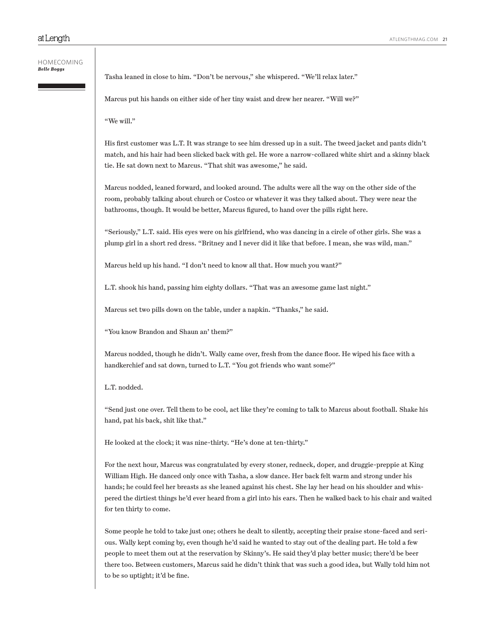Tasha leaned in close to him. "Don't be nervous," she whispered. "We'll relax later."

Marcus put his hands on either side of her tiny waist and drew her nearer. "Will we?"

"We will."

His first customer was L.T. It was strange to see him dressed up in a suit. The tweed jacket and pants didn't match, and his hair had been slicked back with gel. He wore a narrow-collared white shirt and a skinny black tie. He sat down next to Marcus. "That shit was awesome," he said.

Marcus nodded, leaned forward, and looked around. The adults were all the way on the other side of the room, probably talking about church or Costco or whatever it was they talked about. They were near the bathrooms, though. It would be better, Marcus figured, to hand over the pills right here.

"Seriously," L.T. said. His eyes were on his girlfriend, who was dancing in a circle of other girls. She was a plump girl in a short red dress. "Britney and I never did it like that before. I mean, she was wild, man."

Marcus held up his hand. "I don't need to know all that. How much you want?"

L.T. shook his hand, passing him eighty dollars. "That was an awesome game last night."

Marcus set two pills down on the table, under a napkin. "Thanks," he said.

"You know Brandon and Shaun an' them?"

Marcus nodded, though he didn't. Wally came over, fresh from the dance floor. He wiped his face with a handkerchief and sat down, turned to L.T. "You got friends who want some?"

L.T. nodded.

"Send just one over. Tell them to be cool, act like they're coming to talk to Marcus about football. Shake his hand, pat his back, shit like that."

He looked at the clock; it was nine-thirty. "He's done at ten-thirty."

For the next hour, Marcus was congratulated by every stoner, redneck, doper, and druggie-preppie at King William High. He danced only once with Tasha, a slow dance. Her back felt warm and strong under his hands; he could feel her breasts as she leaned against his chest. She lay her head on his shoulder and whispered the dirtiest things he'd ever heard from a girl into his ears. Then he walked back to his chair and waited for ten thirty to come.

Some people he told to take just one; others he dealt to silently, accepting their praise stone-faced and serious. Wally kept coming by, even though he'd said he wanted to stay out of the dealing part. He told a few people to meet them out at the reservation by Skinny's. He said they'd play better music; there'd be beer there too. Between customers, Marcus said he didn't think that was such a good idea, but Wally told him not to be so uptight; it'd be fine.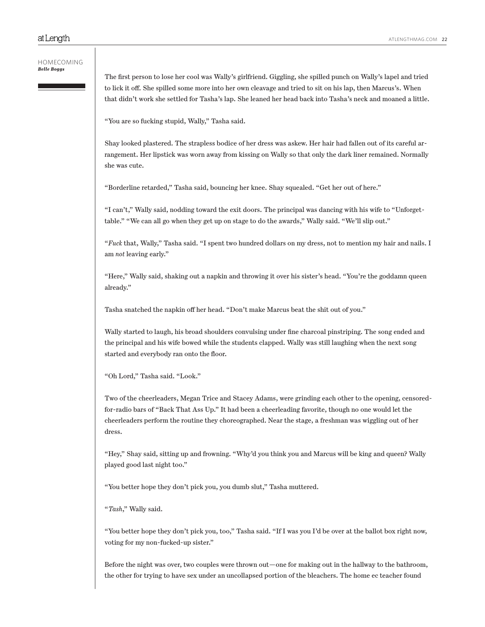The first person to lose her cool was Wally's girlfriend. Giggling, she spilled punch on Wally's lapel and tried to lick it off. She spilled some more into her own cleavage and tried to sit on his lap, then Marcus's. When that didn't work she settled for Tasha's lap. She leaned her head back into Tasha's neck and moaned a little.

"You are so fucking stupid, Wally," Tasha said.

Shay looked plastered. The strapless bodice of her dress was askew. Her hair had fallen out of its careful arrangement. Her lipstick was worn away from kissing on Wally so that only the dark liner remained. Normally she was cute.

"Borderline retarded," Tasha said, bouncing her knee. Shay squealed. "Get her out of here."

"I can't," Wally said, nodding toward the exit doors. The principal was dancing with his wife to "Unforgettable." "We can all go when they get up on stage to do the awards," Wally said. "We'll slip out."

"*Fuck* that, Wally," Tasha said. "I spent two hundred dollars on my dress, not to mention my hair and nails. I am *not* leaving early."

"Here," Wally said, shaking out a napkin and throwing it over his sister's head. "You're the goddamn queen already."

Tasha snatched the napkin off her head. "Don't make Marcus beat the shit out of you."

Wally started to laugh, his broad shoulders convulsing under fine charcoal pinstriping. The song ended and the principal and his wife bowed while the students clapped. Wally was still laughing when the next song started and everybody ran onto the floor.

"Oh Lord," Tasha said. "Look."

Two of the cheerleaders, Megan Trice and Stacey Adams, were grinding each other to the opening, censoredfor-radio bars of "Back That Ass Up." It had been a cheerleading favorite, though no one would let the cheerleaders perform the routine they choreographed. Near the stage, a freshman was wiggling out of her dress.

"Hey," Shay said, sitting up and frowning. "Why'd you think you and Marcus will be king and queen? Wally played good last night too."

"You better hope they don't pick you, you dumb slut," Tasha muttered.

"*Tash*," Wally said.

"You better hope they don't pick you, too," Tasha said. "If I was you I'd be over at the ballot box right now, voting for my non-fucked-up sister."

Before the night was over, two couples were thrown out—one for making out in the hallway to the bathroom, the other for trying to have sex under an uncollapsed portion of the bleachers. The home ec teacher found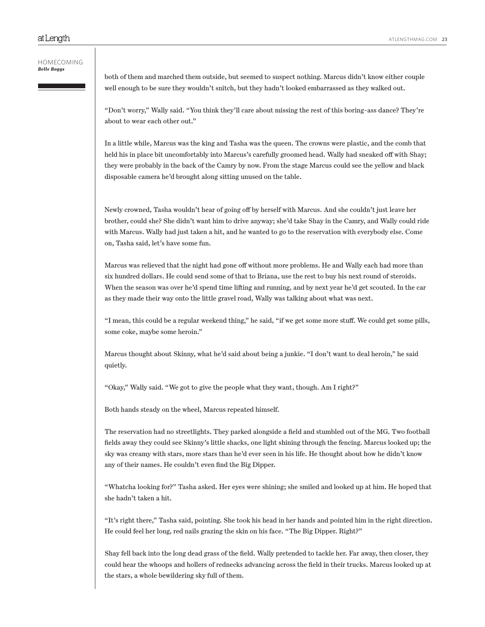> both of them and marched them outside, but seemed to suspect nothing. Marcus didn't know either couple well enough to be sure they wouldn't snitch, but they hadn't looked embarrassed as they walked out.

> "Don't worry," Wally said. "You think they'll care about missing the rest of this boring-ass dance? They're about to wear each other out."

> In a little while, Marcus was the king and Tasha was the queen. The crowns were plastic, and the comb that held his in place bit uncomfortably into Marcus's carefully groomed head. Wally had sneaked off with Shay; they were probably in the back of the Camry by now. From the stage Marcus could see the yellow and black disposable camera he'd brought along sitting unused on the table.

> Newly crowned, Tasha wouldn't hear of going off by herself with Marcus. And she couldn't just leave her brother, could she? She didn't want him to drive anyway; she'd take Shay in the Camry, and Wally could ride with Marcus. Wally had just taken a hit, and he wanted to go to the reservation with everybody else. Come on, Tasha said, let's have some fun.

> Marcus was relieved that the night had gone off without more problems. He and Wally each had more than six hundred dollars. He could send some of that to Briana, use the rest to buy his next round of steroids. When the season was over he'd spend time lifting and running, and by next year he'd get scouted. In the car as they made their way onto the little gravel road, Wally was talking about what was next.

"I mean, this could be a regular weekend thing," he said, "if we get some more stuff. We could get some pills, some coke, maybe some heroin."

Marcus thought about Skinny, what he'd said about being a junkie. "I don't want to deal heroin," he said quietly.

"Okay," Wally said. "We got to give the people what they want, though. Am I right?"

Both hands steady on the wheel, Marcus repeated himself.

The reservation had no streetlights. They parked alongside a field and stumbled out of the MG. Two football fields away they could see Skinny's little shacks, one light shining through the fencing. Marcus looked up; the sky was creamy with stars, more stars than he'd ever seen in his life. He thought about how he didn't know any of their names. He couldn't even find the Big Dipper.

"Whatcha looking for?" Tasha asked. Her eyes were shining; she smiled and looked up at him. He hoped that she hadn't taken a hit.

"It's right there," Tasha said, pointing. She took his head in her hands and pointed him in the right direction. He could feel her long, red nails grazing the skin on his face. "The Big Dipper. Right?"

Shay fell back into the long dead grass of the field. Wally pretended to tackle her. Far away, then closer, they could hear the whoops and hollers of rednecks advancing across the field in their trucks. Marcus looked up at the stars, a whole bewildering sky full of them.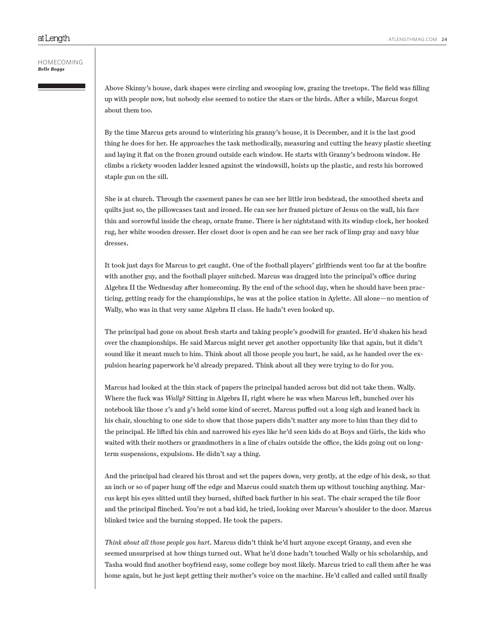Above Skinny's house, dark shapes were circling and swooping low, grazing the treetops. The field was filling up with people now, but nobody else seemed to notice the stars or the birds. After a while, Marcus forgot about them too.

By the time Marcus gets around to winterizing his granny's house, it is December, and it is the last good thing he does for her. He approaches the task methodically, measuring and cutting the heavy plastic sheeting and laying it flat on the frozen ground outside each window. He starts with Granny's bedroom window. He climbs a rickety wooden ladder leaned against the windowsill, hoists up the plastic, and rests his borrowed staple gun on the sill.

She is at church. Through the casement panes he can see her little iron bedstead, the smoothed sheets and quilts just so, the pillowcases taut and ironed. He can see her framed picture of Jesus on the wall, his face thin and sorrowful inside the cheap, ornate frame. There is her nightstand with its windup clock, her hooked rug, her white wooden dresser. Her closet door is open and he can see her rack of limp gray and navy blue dresses.

It took just days for Marcus to get caught. One of the football players' girlfriends went too far at the bonfire with another guy, and the football player snitched. Marcus was dragged into the principal's office during Algebra II the Wednesday after homecoming. By the end of the school day, when he should have been practicing, getting ready for the championships, he was at the police station in Aylette. All alone—no mention of Wally, who was in that very same Algebra II class. He hadn't even looked up.

The principal had gone on about fresh starts and taking people's goodwill for granted. He'd shaken his head over the championships. He said Marcus might never get another opportunity like that again, but it didn't sound like it meant much to him. Think about all those people you hurt, he said, as he handed over the expulsion hearing paperwork he'd already prepared. Think about all they were trying to do for you.

Marcus had looked at the thin stack of papers the principal handed across but did not take them. Wally. Where the fuck was *Wally*? Sitting in Algebra II, right where he was when Marcus left, hunched over his notebook like those *x*'s and *y*'s held some kind of secret. Marcus puffed out a long sigh and leaned back in his chair, slouching to one side to show that those papers didn't matter any more to him than they did to the principal. He lifted his chin and narrowed his eyes like he'd seen kids do at Boys and Girls, the kids who waited with their mothers or grandmothers in a line of chairs outside the office, the kids going out on longterm suspensions, expulsions. He didn't say a thing.

And the principal had cleared his throat and set the papers down, very gently, at the edge of his desk, so that an inch or so of paper hung off the edge and Marcus could snatch them up without touching anything. Marcus kept his eyes slitted until they burned, shifted back further in his seat. The chair scraped the tile floor and the principal flinched. You're not a bad kid, he tried, looking over Marcus's shoulder to the door. Marcus blinked twice and the burning stopped. He took the papers.

*Think about all those people you hurt*. Marcus didn't think he'd hurt anyone except Granny, and even she seemed unsurprised at how things turned out. What he'd done hadn't touched Wally or his scholarship, and Tasha would find another boyfriend easy, some college boy most likely. Marcus tried to call them after he was home again, but he just kept getting their mother's voice on the machine. He'd called and called until finally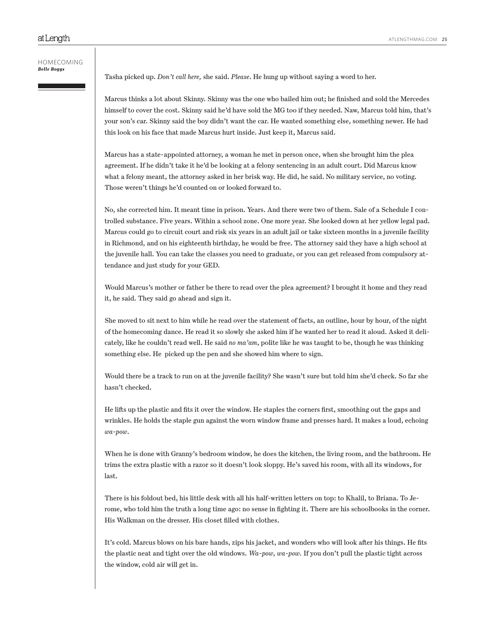Tasha picked up. *Don't call here,* she said. *Please*. He hung up without saying a word to her.

Marcus thinks a lot about Skinny. Skinny was the one who bailed him out; he finished and sold the Mercedes himself to cover the cost. Skinny said he'd have sold the MG too if they needed. Naw, Marcus told him, that's your son's car. Skinny said the boy didn't want the car. He wanted something else, something newer. He had this look on his face that made Marcus hurt inside. Just keep it, Marcus said.

Marcus has a state-appointed attorney, a woman he met in person once, when she brought him the plea agreement. If he didn't take it he'd be looking at a felony sentencing in an adult court. Did Marcus know what a felony meant, the attorney asked in her brisk way. He did, he said. No military service, no voting. Those weren't things he'd counted on or looked forward to.

No, she corrected him. It meant time in prison. Years. And there were two of them. Sale of a Schedule I controlled substance. Five years. Within a school zone. One more year. She looked down at her yellow legal pad. Marcus could go to circuit court and risk six years in an adult jail or take sixteen months in a juvenile facility in Richmond, and on his eighteenth birthday, he would be free. The attorney said they have a high school at the juvenile hall. You can take the classes you need to graduate, or you can get released from compulsory attendance and just study for your GED.

Would Marcus's mother or father be there to read over the plea agreement? I brought it home and they read it, he said. They said go ahead and sign it.

She moved to sit next to him while he read over the statement of facts, an outline, hour by hour, of the night of the homecoming dance. He read it so slowly she asked him if he wanted her to read it aloud. Asked it delicately, like he couldn't read well. He said *no ma'am*, polite like he was taught to be, though he was thinking something else. He picked up the pen and she showed him where to sign.

Would there be a track to run on at the juvenile facility? She wasn't sure but told him she'd check. So far she hasn't checked.

He lifts up the plastic and fits it over the window. He staples the corners first, smoothing out the gaps and wrinkles. He holds the staple gun against the worn window frame and presses hard. It makes a loud, echoing *wa-pow*.

When he is done with Granny's bedroom window, he does the kitchen, the living room, and the bathroom. He trims the extra plastic with a razor so it doesn't look sloppy. He's saved his room, with all its windows, for last.

There is his foldout bed, his little desk with all his half-written letters on top: to Khalil, to Briana. To Jerome, who told him the truth a long time ago: no sense in fighting it. There are his schoolbooks in the corner. His Walkman on the dresser. His closet filled with clothes.

It's cold. Marcus blows on his bare hands, zips his jacket, and wonders who will look after his things. He fits the plastic neat and tight over the old windows. *Wa-pow, wa-pow.* If you don't pull the plastic tight across the window, cold air will get in.